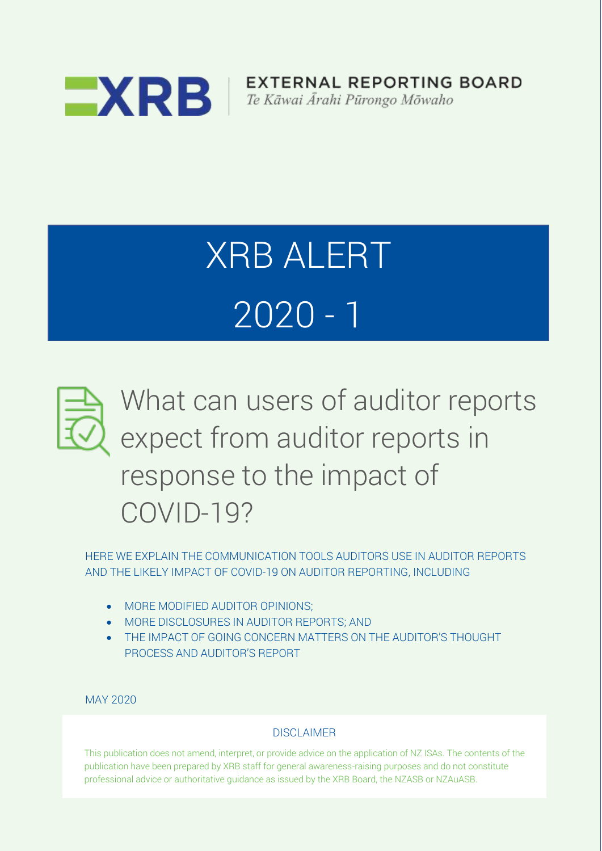

EXTERNAL REPORTING BOARD Te Kāwai Ārahi Pūrongo Mōwaho

# XRB ALERT 2020 - 1



HERE WE EXPLAIN THE COMMUNICATION TOOLS AUDITORS USE IN AUDITOR REPORTS HERE WE EXPLAIN THE COMMUNICATION TOOLS AUDITORS USE IN AUDITOR REPORTS AND THE LIKELY IMPACT OF COVID-19 ON AUDITOR REPORTING, INCLUDING AND THE LIKELY IMPACT OF COVID-19 ON AUDITOR REPORTING, INCLUDING

- MORE MODIFIED AUDITOR OPINIONS:
- MORE DISCLOSURES IN AUDITOR REPORTS; AND •• MORE DISCLOSURES IN AUDITOR REPORTS; AND
- THE IMPACT OF GOING CONCERN MATTERS ON THE AUDITOR'S THOUGHT PROCESS AND AUDITOR'S REPORT

MAY 2020

# **DISCLAIMER**

This publication does not amend, interpret, or provide advice on the application of NZ ISAs. The contents of the publication have been prepared by XRB staff for general awareness-raising purposes and do not constitute professional advice or authoritative guidance as issued by the XRB Board, the NZASB or NZAuASB.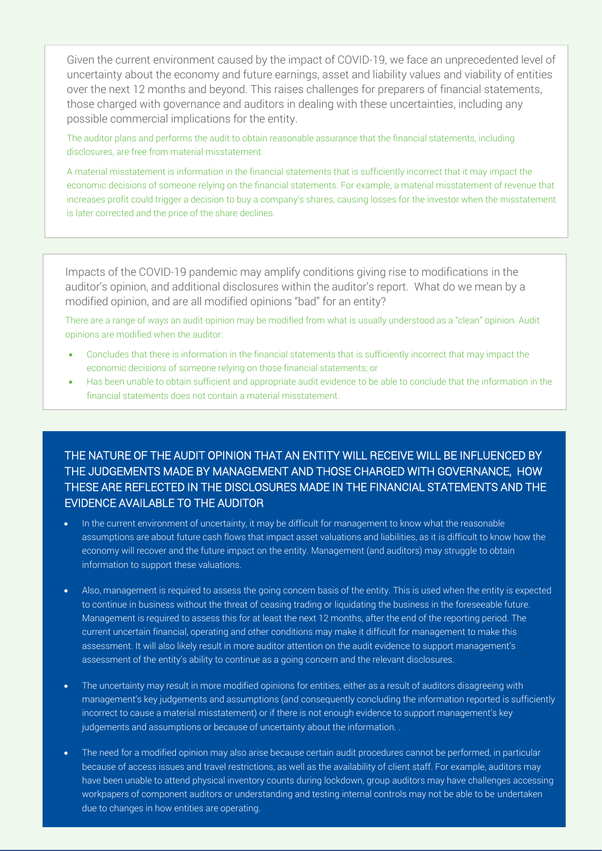Given the current environment caused by the impact of COVID-19, we face an unprecedented level of uncertainty about the economy and future earnings, asset and liability values and viability of entities over the next 12 months and beyond. This raises challenges for preparers of financial statements, those charged with governance and auditors in dealing with these uncertainties, including any possible commercial implications for the entity.

The auditor plans and performs the audit to obtain reasonable assurance that the financial statements, including disclosures, are free from material misstatement.

A material misstatement is information in the financial statements that is sufficiently incorrect that it may impact the economic decisions of someone relying on the financial statements. For example, a material misstatement of revenue that increases profit could trigger a decision to buy a company's shares, causing losses for the investor when the misstatement is later corrected and the price of the share declines.

Impacts of the COVID-19 pandemic may amplify conditions giving rise to modifications in the auditor's opinion, and additional disclosures within the auditor's report. What do we mean by a modified opinion, and are all modified opinions "bad" for an entity?

There are a range of ways an audit opinion may be modified from what is usually understood as a "clean" opinion. Audit opinions are modified when the auditor:

- Concludes that there is information in the financial statements that is sufficiently incorrect that may impact the economic decisions of someone relying on those financial statements; or
- Has been unable to obtain sufficient and appropriate audit evidence to be able to conclude that the information in the financial statements does not contain a material misstatement.

## THE NATURE OF THE AUDIT OPINION THAT AN ENTITY WILL RECEIVE WILL BE INFLUENCED BY THE JUDGEMENTS MADE BY MANAGEMENT AND THOSE CHARGED WITH GOVERNANCE, HOW THESE ARE REFLECTED IN THE DISCLOSURES MADE IN THE FINANCIAL STATEMENTS AND THE EVIDENCE AVAILABLE TO THE AUDITOR

- In the current environment of uncertainty, it may be difficult for management to know what the reasonable assumptions are about future cash flows that impact asset valuations and liabilities, as it is difficult to know how the economy will recover and the future impact on the entity. Management (and auditors) may struggle to obtain information to support these valuations.
- Also, management is required to assess the going concern basis of the entity. This is used when the entity is expected to continue in business without the threat of ceasing trading or liquidating the business in the foreseeable future. Management is required to assess this for at least the next 12 months, after the end of the reporting period. The current uncertain financial, operating and other conditions may make it difficult for management to make this assessment. It will also likely result in more auditor attention on the audit evidence to support management's assessment of the entity's ability to continue as a going concern and the relevant disclosures.
- The uncertainty may result in more modified opinions for entities, either as a result of auditors disagreeing with management's key judgements and assumptions (and consequently concluding the information reported is sufficiently incorrect to cause a material misstatement) or if there is not enough evidence to support management's key judgements and assumptions or because of uncertainty about the information. .
- The need for a modified opinion may also arise because certain audit procedures cannot be performed, in particular because of access issues and travel restrictions, as well as the availability of client staff. For example, auditors may have been unable to attend physical inventory counts during lockdown, group auditors may have challenges accessing workpapers of component auditors or understanding and testing internal controls may not be able to be undertaken due to changes in how entities are operating.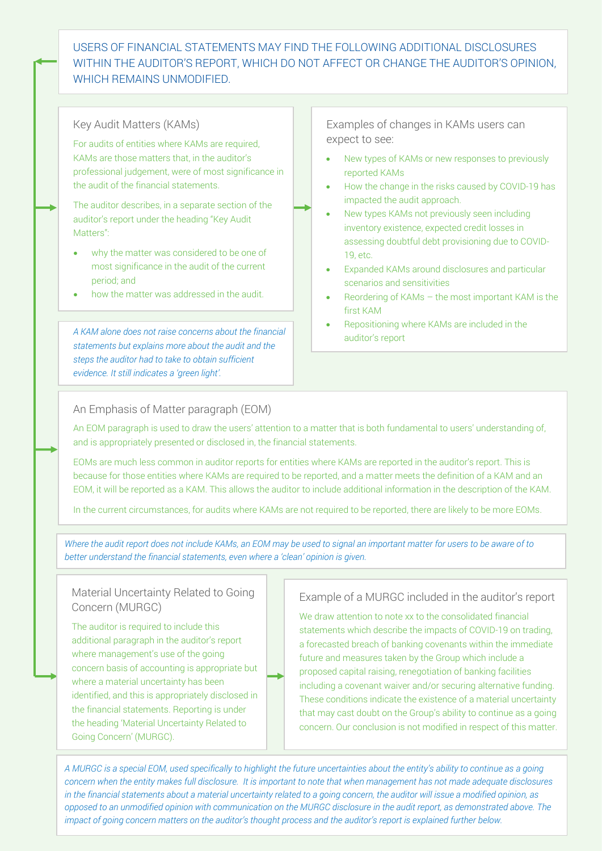### USERS OF FINANCIAL STATEMENTS MAY FIND THE FOLLOWING ADDITIONAL DISCLOSURES WITHIN THE AUDITOR'S REPORT, WHICH DO NOT AFFECT OR CHANGE THE AUDITOR'S OPINION, WHICH REMAINS UNMODIFIED.

#### Key Audit Matters (KAMs)

For audits of entities where KAMs are required, KAMs are those matters that, in the auditor's professional judgement, were of most significance in the audit of the financial statements.

The auditor describes, in a separate section of the auditor's report under the heading "Key Audit Matters":

- why the matter was considered to be one of most significance in the audit of the current period; and
- how the matter was addressed in the audit.

*A KAM alone does not raise concerns about the financial statements but explains more about the audit and the steps the auditor had to take to obtain sufficient evidence. It still indicates a 'green light'.*

Examples of changes in KAMs users can expect to see:

- New types of KAMs or new responses to previously reported KAMs
- How the change in the risks caused by COVID-19 has impacted the audit approach.
- New types KAMs not previously seen including inventory existence, expected credit losses in assessing doubtful debt provisioning due to COVID-19, etc.
- Expanded KAMs around disclosures and particular scenarios and sensitivities
- Reordering of KAMs the most important KAM is the first KAM
- Repositioning where KAMs are included in the auditor's report

#### An Emphasis of Matter paragraph (EOM)

An EOM paragraph is used to draw the users' attention to a matter that is both fundamental to users' understanding of, and is appropriately presented or disclosed in, the financial statements.

EOMs are much less common in auditor reports for entities where KAMs are reported in the auditor's report. This is because for those entities where KAMs are required to be reported, and a matter meets the definition of a KAM and an EOM, it will be reported as a KAM. This allows the auditor to include additional information in the description of the KAM.

In the current circumstances, for audits where KAMs are not required to be reported, there are likely to be more EOMs.

*Where the audit report does not include KAMs, an EOM may be used to signal an important matter for users to be aware of to better understand the financial statements, even where a 'clean' opinion is given.* 

#### Material Uncertainty Related to Going Concern (MURGC)

The auditor is required to include this additional paragraph in the auditor's report where management's use of the going concern basis of accounting is appropriate but where a material uncertainty has been identified, and this is appropriately disclosed in the financial statements. Reporting is under the heading 'Material Uncertainty Related to Going Concern' (MURGC).

#### Example of a MURGC included in the auditor's report

We draw attention to note xx to the consolidated financial statements which describe the impacts of COVID-19 on trading, a forecasted breach of banking covenants within the immediate future and measures taken by the Group which include a proposed capital raising, renegotiation of banking facilities including a covenant waiver and/or securing alternative funding. These conditions indicate the existence of a material uncertainty that may cast doubt on the Group's ability to continue as a going concern. Our conclusion is not modified in respect of this matter.

*A MURGC is a special EOM, used specifically to highlight the future uncertainties about the entity's ability to continue as a going concern when the entity makes full disclosure. It is important to note that when management has not made adequate disclosures in the financial statements about a material uncertainty related to a going concern, the auditor will issue a modified opinion, as opposed to an unmodified opinion with communication on the MURGC disclosure in the audit report, as demonstrated above. The impact of going concern matters on the auditor's thought process and the auditor's report is explained further below.*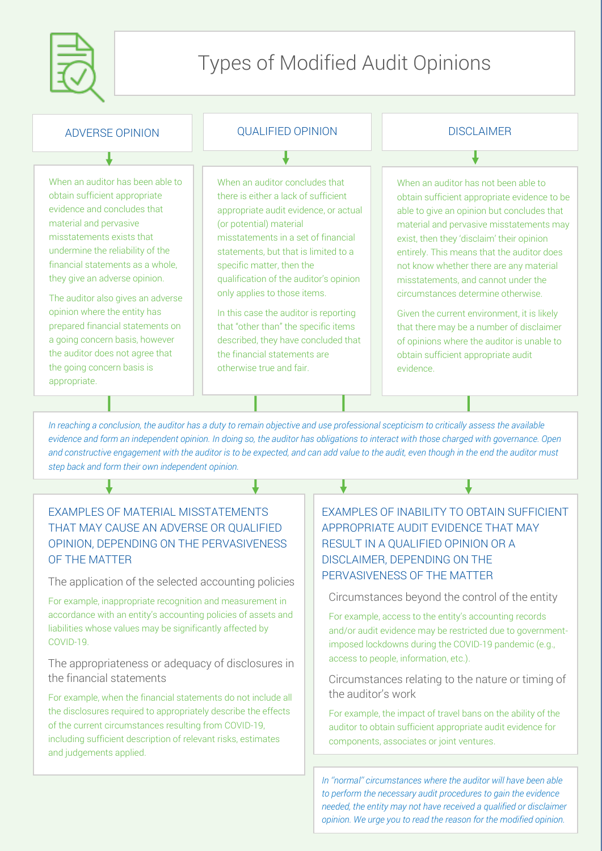

# Types of Modified Audit Opinions

| <b>ADVERSE OPINION</b>                                                                                                                                                                                                                                                                                                                                                                                                                                                                       | <b>QUALIFIED OPINION</b>                                                                                                                                                                                                                                                                                                                                                                                                                                                                                             | <b>DISCLAIMER</b>                                                                                                                                                                                                                                                                                                                                                                                                                                                                                                                                                                              |
|----------------------------------------------------------------------------------------------------------------------------------------------------------------------------------------------------------------------------------------------------------------------------------------------------------------------------------------------------------------------------------------------------------------------------------------------------------------------------------------------|----------------------------------------------------------------------------------------------------------------------------------------------------------------------------------------------------------------------------------------------------------------------------------------------------------------------------------------------------------------------------------------------------------------------------------------------------------------------------------------------------------------------|------------------------------------------------------------------------------------------------------------------------------------------------------------------------------------------------------------------------------------------------------------------------------------------------------------------------------------------------------------------------------------------------------------------------------------------------------------------------------------------------------------------------------------------------------------------------------------------------|
|                                                                                                                                                                                                                                                                                                                                                                                                                                                                                              |                                                                                                                                                                                                                                                                                                                                                                                                                                                                                                                      |                                                                                                                                                                                                                                                                                                                                                                                                                                                                                                                                                                                                |
| When an auditor has been able to<br>obtain sufficient appropriate<br>evidence and concludes that<br>material and pervasive<br>misstatements exists that<br>undermine the reliability of the<br>financial statements as a whole,<br>they give an adverse opinion.<br>The auditor also gives an adverse<br>opinion where the entity has<br>prepared financial statements on<br>a going concern basis, however<br>the auditor does not agree that<br>the going concern basis is<br>appropriate. | When an auditor concludes that<br>there is either a lack of sufficient<br>appropriate audit evidence, or actual<br>(or potential) material<br>misstatements in a set of financial<br>statements, but that is limited to a<br>specific matter, then the<br>qualification of the auditor's opinion<br>only applies to those items.<br>In this case the auditor is reporting<br>that "other than" the specific items<br>described, they have concluded that<br>the financial statements are<br>otherwise true and fair. | When an auditor has not been able to<br>obtain sufficient appropriate evidence to be<br>able to give an opinion but concludes that<br>material and pervasive misstatements may<br>exist, then they 'disclaim' their opinion<br>entirely. This means that the auditor does<br>not know whether there are any material<br>misstatements, and cannot under the<br>circumstances determine otherwise.<br>Given the current environment, it is likely<br>that there may be a number of disclaimer<br>of opinions where the auditor is unable to<br>obtain sufficient appropriate audit<br>evidence. |
|                                                                                                                                                                                                                                                                                                                                                                                                                                                                                              |                                                                                                                                                                                                                                                                                                                                                                                                                                                                                                                      |                                                                                                                                                                                                                                                                                                                                                                                                                                                                                                                                                                                                |

*In reaching a conclusion, the auditor has a duty to remain objective and use professional scepticism to critically assess the available evidence and form an independent opinion. In doing so, the auditor has obligations to interact with those charged with governance. Open and constructive engagement with the auditor is to be expected, and can add value to the audit, even though in the end the auditor must step back and form their own independent opinion.*

# EXAMPLES OF MATERIAL MISSTATEMENTS THAT MAY CAUSE AN ADVERSE OR QUALIFIED OPINION, DEPENDING ON THE PERVASIVENESS OF THE MATTER

#### The application of the selected accounting policies

For example, inappropriate recognition and measurement in accordance with an entity's accounting policies of assets and liabilities whose values may be significantly affected by COVID-19.

The appropriateness or adequacy of disclosures in the financial statements

For example, when the financial statements do not include all the disclosures required to appropriately describe the effects of the current circumstances resulting from COVID-19, including sufficient description of relevant risks, estimates and judgements applied.

# EXAMPLES OF INABILITY TO OBTAIN SUFFICIENT APPROPRIATE AUDIT EVIDENCE THAT MAY RESULT IN A QUALIFIED OPINION OR A DISCLAIMER, DEPENDING ON THE PERVASIVENESS OF THE MATTER

Circumstances beyond the control of the entity

For example, access to the entity's accounting records and/or audit evidence may be restricted due to governmentimposed lockdowns during the COVID-19 pandemic (e.g., access to people, information, etc.).

Circumstances relating to the nature or timing of the auditor's work

For example, the impact of travel bans on the ability of the auditor to obtain sufficient appropriate audit evidence for components, associates or joint ventures.

*In ''normal'' circumstances where the auditor will have been able to perform the necessary audit procedures to gain the evidence needed, the entity may not have received a qualified or disclaimer opinion. We urge you to read the reason for the modified opinion.*